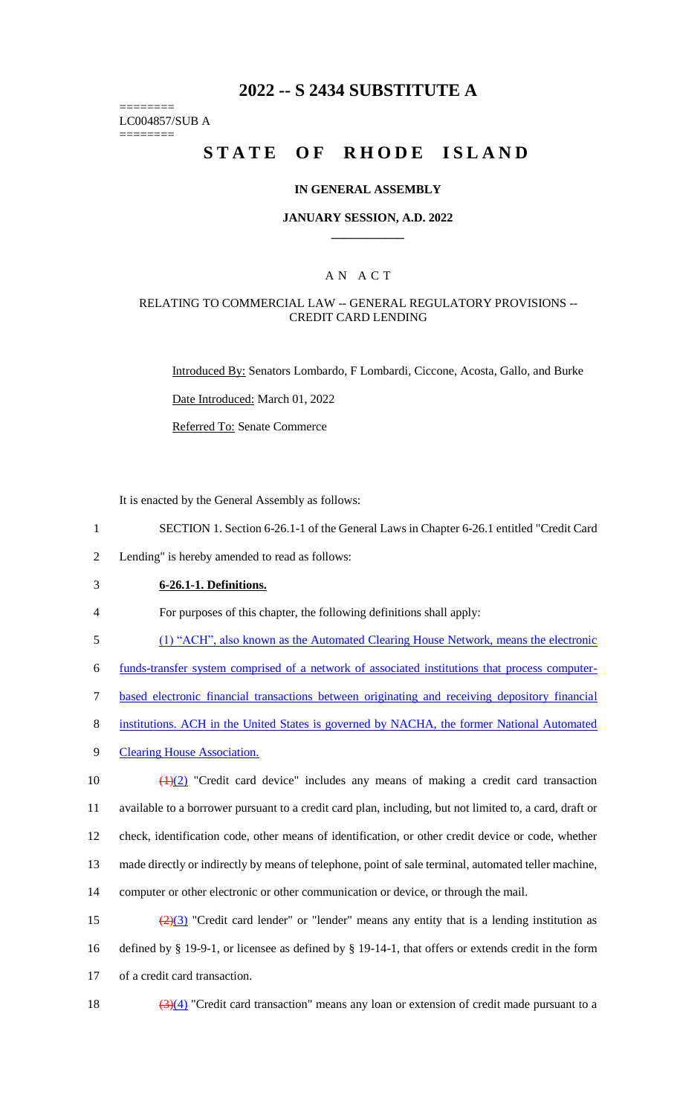# **2022 -- S 2434 SUBSTITUTE A**

======== LC004857/SUB A

========

# **STATE OF RHODE ISLAND**

### **IN GENERAL ASSEMBLY**

### **JANUARY SESSION, A.D. 2022 \_\_\_\_\_\_\_\_\_\_\_\_**

### A N A C T

### RELATING TO COMMERCIAL LAW -- GENERAL REGULATORY PROVISIONS -- CREDIT CARD LENDING

Introduced By: Senators Lombardo, F Lombardi, Ciccone, Acosta, Gallo, and Burke

Date Introduced: March 01, 2022

Referred To: Senate Commerce

It is enacted by the General Assembly as follows:

1 SECTION 1. Section 6-26.1-1 of the General Laws in Chapter 6-26.1 entitled "Credit Card

2 Lending" is hereby amended to read as follows:

3 **6-26.1-1. Definitions.**

4 For purposes of this chapter, the following definitions shall apply:

5 (1) "ACH", also known as the Automated Clearing House Network, means the electronic

6 funds-transfer system comprised of a network of associated institutions that process computer-

7 based electronic financial transactions between originating and receiving depository financial

- 8 institutions. ACH in the United States is governed by NACHA, the former National Automated
- 9 Clearing House Association.

 $\left(\frac{1}{2}\right)$  "Credit card device" includes any means of making a credit card transaction available to a borrower pursuant to a credit card plan, including, but not limited to, a card, draft or check, identification code, other means of identification, or other credit device or code, whether made directly or indirectly by means of telephone, point of sale terminal, automated teller machine, computer or other electronic or other communication or device, or through the mail.

15  $\left(\frac{2}{3}\right)$  "Credit card lender" or "lender" means any entity that is a lending institution as 16 defined by § 19-9-1, or licensee as defined by § 19-14-1, that offers or extends credit in the form 17 of a credit card transaction.

18  $(3)(4)$  "Credit card transaction" means any loan or extension of credit made pursuant to a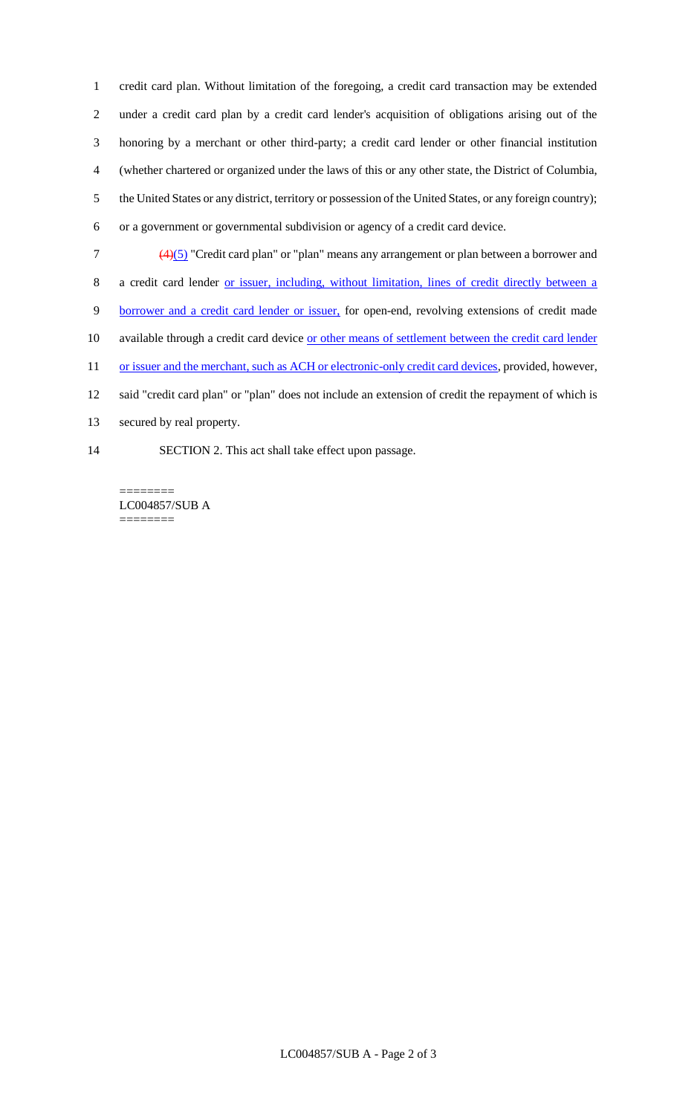credit card plan. Without limitation of the foregoing, a credit card transaction may be extended under a credit card plan by a credit card lender's acquisition of obligations arising out of the honoring by a merchant or other third-party; a credit card lender or other financial institution (whether chartered or organized under the laws of this or any other state, the District of Columbia, the United States or any district, territory or possession of the United States, or any foreign country); or a government or governmental subdivision or agency of a credit card device.

(4)(5) "Credit card plan" or "plan" means any arrangement or plan between a borrower and

a credit card lender or issuer, including, without limitation, lines of credit directly between a

- borrower and a credit card lender or issuer, for open-end, revolving extensions of credit made
- 10 available through a credit card device or other means of settlement between the credit card lender

11 or issuer and the merchant, such as ACH or electronic-only credit card devices, provided, however,

- said "credit card plan" or "plan" does not include an extension of credit the repayment of which is
- secured by real property.
- SECTION 2. This act shall take effect upon passage.

======== LC004857/SUB A ========